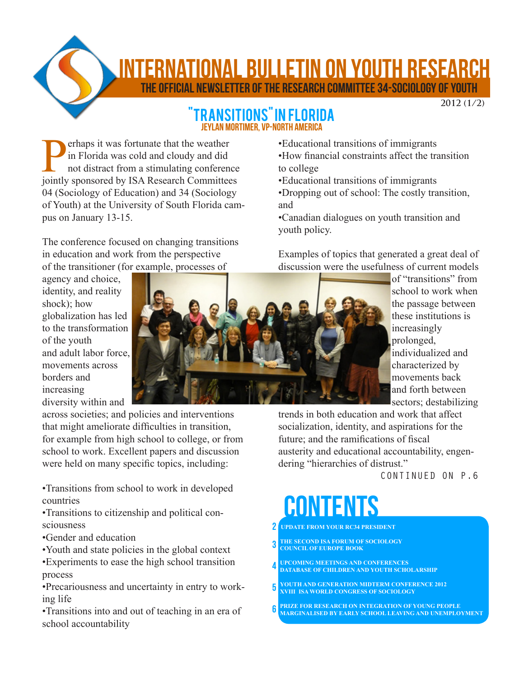**TERNATIONAL BULLETIN ON YOUTH RESEARCH** 

The Official Newsletter of the Research Committee 34-sociology of youth

### **2012 (1/2)**

### ISITIONS" IN FLORIDA Jeylan mortimer, VP-North America

Perhaps it was fortunate that the weather<br>in Florida was cold and cloudy and did<br>not distract from a stimulating conference<br>iointly sponsored by ISA Research Committee in Florida was cold and cloudy and did not distract from a stimulating conference jointly sponsored by ISA Research Committees 04 (Sociology of Education) and 34 (Sociology of Youth) at the University of South Florida campus on January 13-15.

The conference focused on changing transitions in education and work from the perspective of the transitioner (for example, processes of

- •Educational transitions of immigrants
- •How financial constraints affect the transition to college
- •Educational transitions of immigrants
- •Dropping out of school: The costly transition, and
- •Canadian dialogues on youth transition and youth policy.

Examples of topics that generated a great deal of discussion were the usefulness of current models

> of "transitions" from school to work when the passage between these institutions is increasingly prolonged, individualized and characterized by movements back and forth between sectors; destabilizing

trends in both education and work that affect socialization, identity, and aspirations for the future; and the ramifications of fiscal austerity and educational accountability, engendering "hierarchies of distrust."

CONTINUED ON P.6

# contents

- **UPDATE FROM YOUR RC34 PRESIDENT** 2
- **THE SECOND ISA FORUM OF SOCIOLOGY COUNCIL OF EUROPE BOOK** 3
- **UPCOMING MEETINGS AND CONFERENCES DATABASE OF CHILDREN AND YOUTH SCHOLARSHIP** 4
- **YOUTH AND GENERATION MIDTERM CONFERENCE 2012 XVIII ISA WORLD CONGRESS OF SOCIOLOGY** 5
- **PRIZE FOR RESEARCH ON INTEGRATION OF YOUNG PEOPLE MARGINALISED BY EARLY SCHOOL LEAVING AND UNEMPLOYMENT** 6

agency and choice, identity, and reality shock); how globalization has led to the transformation of the youth and adult labor force, movements across borders and increasing diversity within and

across societies; and policies and interventions that might ameliorate difficulties in transition, for example from high school to college, or from school to work. Excellent papers and discussion were held on many specific topics, including:

•Transitions from school to work in developed countries

•Transitions to citizenship and political consciousness

- •Gender and education
- •Youth and state policies in the global context

•Experiments to ease the high school transition process

•Precariousness and uncertainty in entry to working life

•Transitions into and out of teaching in an era of school accountability

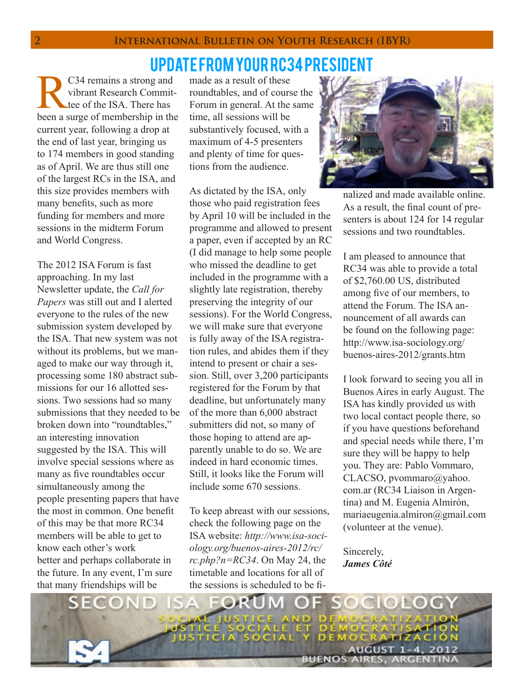# update from your rc34 president

C34 remains a strong and vibrant Research Committee of the ISA. There has been a surge of membership in the current year, following a drop at the end of last year, bringing us to 174 members in good standing as of April. We are thus still one of the largest RCs in the ISA, and this size provides members with many benefits, such as more funding for members and more sessions in the midterm Forum and World Congress.

The 2012 ISA Forum is fast approaching. In my last Newsletter update, the *Call for Papers* was still out and I alerted everyone to the rules of the new submission system developed by the ISA. That new system was not without its problems, but we managed to make our way through it, processing some 180 abstract submissions for our 16 allotted sessions. Two sessions had so many submissions that they needed to be broken down into "roundtables," an interesting innovation suggested by the ISA. This will involve special sessions where as many as five roundtables occur simultaneously among the people presenting papers that have the most in common. One benefit of this may be that more RC34 members will be able to get to know each other's work better and perhaps collaborate in the future. In any event, I'm sure that many friendships will be

made as a result of these roundtables, and of course the Forum in general. At the same time, all sessions will be substantively focused, with a maximum of 4-5 presenters and plenty of time for questions from the audience.

As dictated by the ISA, only those who paid registration fees by April 10 will be included in the programme and allowed to present a paper, even if accepted by an RC (I did manage to help some people who missed the deadline to get included in the programme with a slightly late registration, thereby preserving the integrity of our sessions). For the World Congress, we will make sure that everyone is fully away of the ISA registration rules, and abides them if they intend to present or chair a session. Still, over 3,200 participants registered for the Forum by that deadline, but unfortunately many of the more than 6,000 abstract submitters did not, so many of those hoping to attend are apparently unable to do so. We are indeed in hard economic times. Still, it looks like the Forum will include some 670 sessions.

To keep abreast with our sessions, check the following page on the ISA website: *http://www.isa-sociology.org/buenos-aires-2012/rc/ rc.php?n=RC34*. On May 24, the timetable and locations for all of the sessions is scheduled to be fi-



nalized and made available online. As a result, the final count of presenters is about 124 for 14 regular sessions and two roundtables.

I am pleased to announce that RC34 was able to provide a total of \$2,760.00 US, distributed among five of our members, to attend the Forum. The ISA announcement of all awards can be found on the following page: http://www.isa-sociology.org/ buenos-aires-2012/grants.htm

I look forward to seeing you all in Buenos Aires in early August. The ISA has kindly provided us with two local contact people there, so if you have questions beforehand and special needs while there, I'm sure they will be happy to help you. They are: Pablo Vommaro, CLACSO, pvommaro@yahoo. com.ar (RC34 Liaison in Argentina) and M. Eugenia Almirón, mariaeugenia.almiron@gmail.com (volunteer at the venue).

Sincerely, *James Côté* 

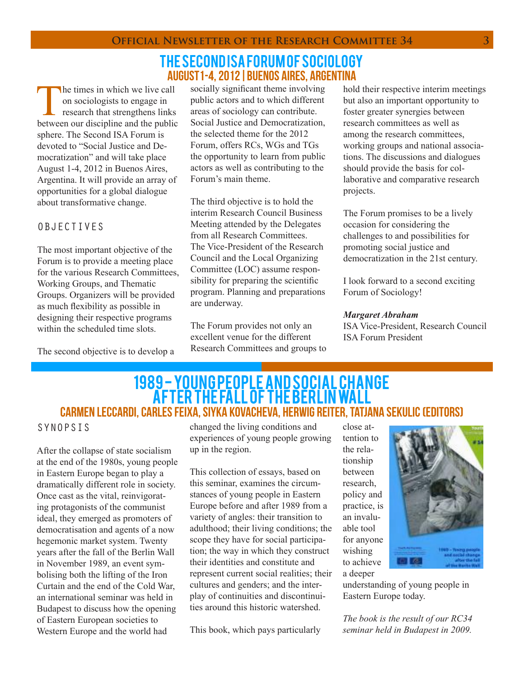## the second isa forum of sociology august1-4, 2012|Buenos Aires, Argentina

The times in which we live call<br>on sociologists to engage in<br>research that strengthens links<br>between our discipline and the public on sociologists to engage in research that strengthens links between our discipline and the public sphere. The Second ISA Forum is devoted to "Social Justice and Democratization" and will take place August 1-4, 2012 in Buenos Aires, Argentina. It will provide an array of opportunities for a global dialogue about transformative change.

### OBJECTIVES

The most important objective of the Forum is to provide a meeting place for the various Research Committees, Working Groups, and Thematic Groups. Organizers will be provided as much flexibility as possible in designing their respective programs within the scheduled time slots.

The second objective is to develop a

socially significant theme involving public actors and to which different areas of sociology can contribute. Social Justice and Democratization, the selected theme for the 2012 Forum, offers RCs, WGs and TGs the opportunity to learn from public actors as well as contributing to the Forum's main theme.

The third objective is to hold the interim Research Council Business Meeting attended by the Delegates from all Research Committees. The Vice-President of the Research Council and the Local Organizing Committee (LOC) assume responsibility for preparing the scientific program. Planning and preparations are underway.

The Forum provides not only an excellent venue for the different Research Committees and groups to hold their respective interim meetings but also an important opportunity to foster greater synergies between research committees as well as among the research committees, working groups and national associations. The discussions and dialogues should provide the basis for collaborative and comparative research projects.

The Forum promises to be a lively occasion for considering the challenges to and possibilities for promoting social justice and democratization in the 21st century.

I look forward to a second exciting Forum of Sociology!

#### *Margaret Abraham*

ISA Vice-President, Research Council ISA Forum President

# 1989 - Young people and social change after the fall of the Berlin Wall Carmen Leccardi, Carles Feixa, Siyka Kovacheva, Herwig Reiter, Tatjana Sekulic (editors)

### SYNOPSIS

After the collapse of state socialism at the end of the 1980s, young people in Eastern Europe began to play a dramatically different role in society. Once cast as the vital, reinvigorating protagonists of the communist ideal, they emerged as promoters of democratisation and agents of a now hegemonic market system. Twenty years after the fall of the Berlin Wall in November 1989, an event symbolising both the lifting of the Iron Curtain and the end of the Cold War, an international seminar was held in Budapest to discuss how the opening of Eastern European societies to Western Europe and the world had

changed the living conditions and experiences of young people growing up in the region.

This collection of essays, based on this seminar, examines the circumstances of young people in Eastern Europe before and after 1989 from a variety of angles: their transition to adulthood; their living conditions; the scope they have for social participation; the way in which they construct their identities and constitute and represent current social realities; their cultures and genders; and the interplay of continuities and discontinuities around this historic watershed.

This book, which pays particularly

close attention to the relationship between research, policy and practice, is an invaluable tool for anyone wishing to achieve a deeper



understanding of young people in Eastern Europe today.

*The book is the result of our RC34 seminar held in Budapest in 2009.*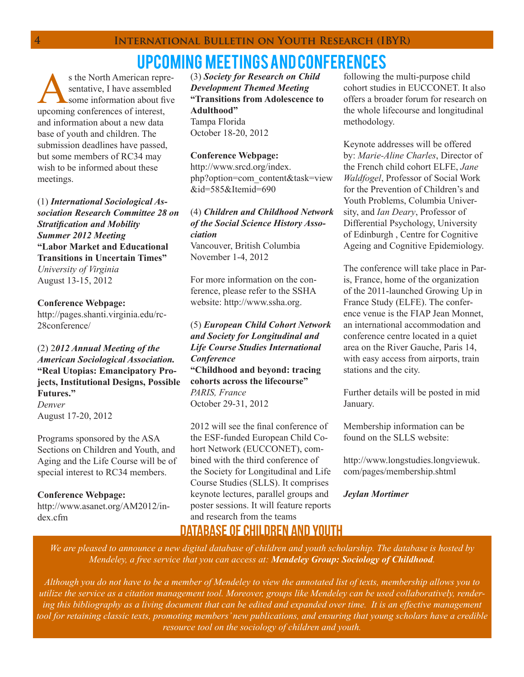s the North American representative, I have assembled some information about five upcoming conferences of interest, and information about a new data base of youth and children. The submission deadlines have passed, but some members of RC34 may wish to be informed about these meetings.

(1) *International Sociological Association Research Committee 28 on Stratification and Mobility Summer 2012 Meeting* **"Labor Market and Educational Transitions in Uncertain Times"** *University of Virginia* August 13-15, 2012

**Conference Webpage:**

http://pages.shanti.virginia.edu/rc-28conference/

(2) 2*012 Annual Meeting of the American Sociological Association.* **"Real Utopias: Emancipatory Projects, Institutional Designs, Possible Futures."** *Denver* August 17-20, 2012

Programs sponsored by the ASA Sections on Children and Youth, and Aging and the Life Course will be of special interest to RC34 members.

**Conference Webpage:** http://www.asanet.org/AM2012/index.cfm

(3) *Society for Research on Child Development Themed Meeting* **"Transitions from Adolescence to Adulthood"** Tampa Florida October 18-20, 2012

#### **Conference Webpage:**

http://www.srcd.org/index. php?option=com\_content&task=view &id=585&Itemid=690

(4) *Children and Childhood Network of the Social Science History Association* Vancouver, British Columbia November 1-4, 2012

For more information on the conference, please refer to the SSHA website: http://www.ssha.org.

(5) *European Child Cohort Network and Society for Longitudinal and Life Course Studies International Conference* **"Childhood and beyond: tracing cohorts across the lifecourse"** *PARIS, France* October 29-31, 2012

2012 will see the final conference of the ESF-funded European Child Cohort Network (EUCCONET), combined with the third conference of the Society for Longitudinal and Life Course Studies (SLLS). It comprises keynote lectures, parallel groups and poster sessions. It will feature reports and research from the teams

following the multi-purpose child cohort studies in EUCCONET. It also offers a broader forum for research on the whole lifecourse and longitudinal methodology.

Keynote addresses will be offered by: *Marie-Aline Charles*, Director of the French child cohort ELFE, *Jane Waldfogel*, Professor of Social Work for the Prevention of Children's and Youth Problems, Columbia University, and *Ian Deary*, Professor of Differential Psychology, University of Edinburgh , Centre for Cognitive Ageing and Cognitive Epidemiology.

The conference will take place in Paris, France, home of the organization of the 2011-launched Growing Up in France Study (ELFE). The conference venue is the FIAP Jean Monnet, an international accommodation and conference centre located in a quiet area on the River Gauche, Paris 14, with easy access from airports, train stations and the city.

Further details will be posted in mid January.

Membership information can be found on the SLLS website:

http://www.longstudies.longviewuk. com/pages/membership.shtml

*Jeylan Mortimer*

# Database of Children and youth

*We are pleased to announce a new digital database of children and youth scholarship. The database is hosted by Mendeley, a free service that you can access at: Mendeley Group: Sociology of Childhood.*

*Although you do not have to be a member of Mendeley to view the annotated list of texts, membership allows you to utilize the service as a citation management tool. Moreover, groups like Mendeley can be used collaboratively, render*ing this bibliography as a living document that can be edited and expanded over time. It is an effective management *tool for retaining classic texts, promoting members' new publications, and ensuring that young scholars have a credible resource tool on the sociology of children and youth.*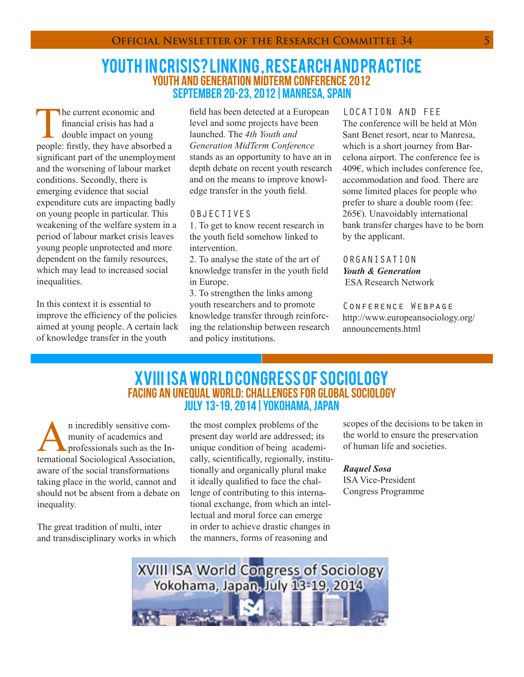### Youth in crisis? Linking , research and practice YOUTH AND GENERATION MIDTERM CONFERENCE 2012 september 20-23, 2012|Manresa, spain

The current economic and<br>
financial crisis has had a<br>
double impact on young<br>
people: firstly, they have absorbed a financial crisis has had a double impact on young significant part of the unemployment and the worsening of labour market conditions. Secondly, there is emerging evidence that social expenditure cuts are impacting badly on young people in particular. This weakening of the welfare system in a period of labour market crisis leaves young people unprotected and more dependent on the family resources, which may lead to increased social inequalities.

In this context it is essential to improve the efficiency of the policies aimed at young people. A certain lack of knowledge transfer in the youth

field has been detected at a European level and some projects have been launched. The *4th Youth and Generation MidTerm Conference* stands as an opportunity to have an in depth debate on recent youth research and on the means to improve knowledge transfer in the youth field.

#### OBJECTIVES

1. To get to know recent research in the youth field somehow linked to intervention.

2. To analyse the state of the art of knowledge transfer in the youth field in Europe.

3. To strengthen the links among youth researchers and to promote knowledge transfer through reinforcing the relationship between research and policy institutions.

LOCATION AND FEE The conference will be held at Món Sant Benet resort, near to Manresa, which is a short journey from Barcelona airport. The conference fee is 409€, which includes conference fee, accommodation and food. There are some limited places for people who prefer to share a double room (fee: 265€). Unavoidably international bank transfer charges have to be born by the applicant.

ORGANISATION *Youth & Generation*  ESA Research Network

Conference Webpage http://www.europeansociology.org/ announcements.html

## XVIII ISA World Congress of Sociology Facing an Unequal World: Challenges for global Sociology July 13-19, 2014|Yokohama, Japan

**A**n incredibly sensitive com-<br>munity of academics and<br>professionals such as the International Sociological Association munity of academics and professionals such as the International Sociological Association, aware of the social transformations taking place in the world, cannot and should not be absent from a debate on inequality.

The great tradition of multi, inter and transdisciplinary works in which

the most complex problems of the present day world are addressed; its unique condition of being academically, scientifically, regionally, institutionally and organically plural make it ideally qualified to face the challenge of contributing to this international exchange, from which an intellectual and moral force can emerge in order to achieve drastic changes in the manners, forms of reasoning and

scopes of the decisions to be taken in the world to ensure the preservation of human life and societies.

*Raquel Sosa*

ISA Vice-President Congress Programme

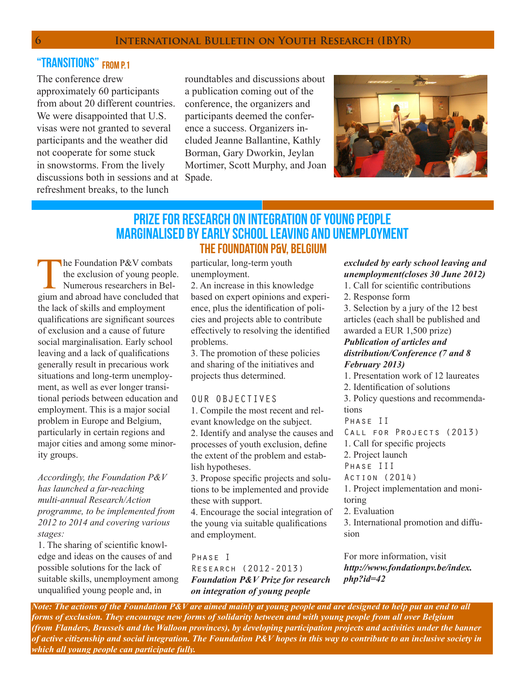# "TRANSITIONS" FROM P1

The conference drew approximately 60 participants from about 20 different countries. We were disappointed that U.S. visas were not granted to several participants and the weather did not cooperate for some stuck in snowstorms. From the lively discussions both in sessions and at Spade. refreshment breaks, to the lunch

roundtables and discussions about a publication coming out of the conference, the organizers and participants deemed the conference a success. Organizers included Jeanne Ballantine, Kathly Borman, Gary Dworkin, Jeylan Mortimer, Scott Murphy, and Joan



# The Foundation P&V, Belgium PRIZE FOR RESEARCH ON INTEGRATION OF YOUNG PEOPLE MARGINALISED BY EARLY SCHOOL LEAVING AND UNEMPLOYMENT

The Foundation P&V combats<br>the exclusion of young people<br>Numerous researchers in Bel-<br>gium and abroad have concluded that the exclusion of young people. Numerous researchers in Belgium and abroad have concluded that the lack of skills and employment qualifications are significant sources of exclusion and a cause of future social marginalisation. Early school leaving and a lack of qualifications generally result in precarious work situations and long-term unemployment, as well as ever longer transitional periods between education and employment. This is a major social problem in Europe and Belgium, particularly in certain regions and major cities and among some minority groups.

*Accordingly, the Foundation P&V has launched a far-reaching multi-annual Research/Action programme, to be implemented from 2012 to 2014 and covering various stages:*

1. The sharing of scientific knowledge and ideas on the causes of and possible solutions for the lack of suitable skills, unemployment among unqualified young people and, in

particular, long-term youth unemployment.

2. An increase in this knowledge based on expert opinions and experience, plus the identification of policies and projects able to contribute effectively to resolving the identified problems.

3. The promotion of these policies and sharing of the initiatives and projects thus determined.

#### OUR OBJECTIVES

1. Compile the most recent and relevant knowledge on the subject. 2. Identify and analyse the causes and processes of youth exclusion, define the extent of the problem and establish hypotheses.

3. Propose specific projects and solutions to be implemented and provide these with support.

4. Encourage the social integration of the young via suitable qualifications and employment.

Phase I Research (2012-2013) *Foundation P&V Prize for research on integration of young people* 

### *excluded by early school leaving and unemployment(closes 30 June 2012)*

- 1. Call for scientific contributions
- 2. Response form

3. Selection by a jury of the 12 best articles (each shall be published and awarded a EUR 1,500 prize) *Publication of articles and distribution/Conference (7 and 8 February 2013)*

1. Presentation work of 12 laureates 2. Identification of solutions 3. Policy questions and recommendations

Phase II

- CALL FOR PROJECTS (2013)
- 1. Call for specific projects

2. Project launch

- Phase III
- Action (2014)

1. Project implementation and monitoring

2. Evaluation

3. International promotion and diffusion

For more information, visit *http://www.fondationpv.be/index. php?id=42*

*Note: The actions of the Foundation P&V are aimed mainly at young people and are designed to help put an end to all forms of exclusion. They encourage new forms of solidarity between and with young people from all over Belgium (from Flanders, Brussels and the Walloon provinces), by developing participation projects and activities under the banner of active citizenship and social integration. The Foundation P&V hopes in this way to contribute to an inclusive society in which all young people can participate fully.*